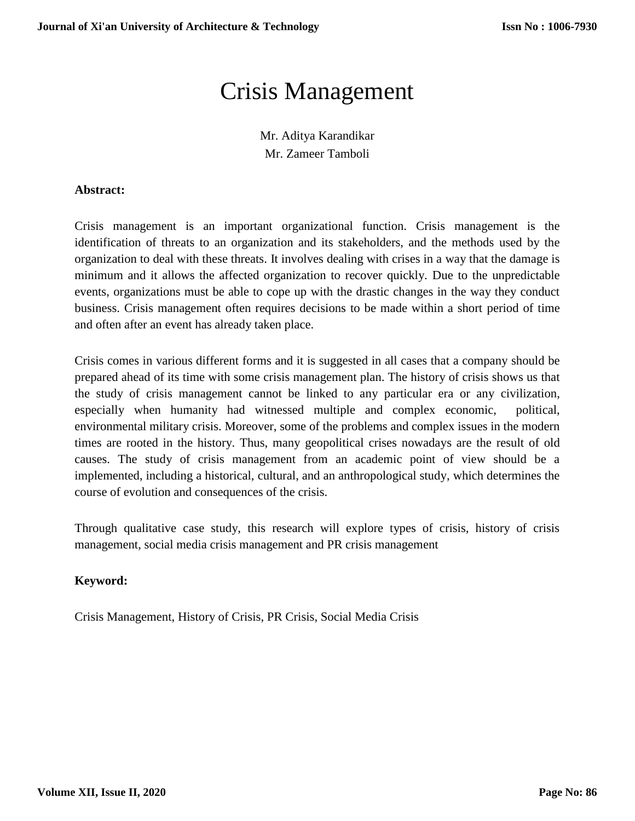# Crisis Management

Mr. Aditya Karandikar Mr. Zameer Tamboli

## **Abstract:**

Crisis management is an important organizational function. Crisis management is the identification of threats to an organization and its stakeholders, and the methods used by the organization to deal with these threats. It involves dealing with crises in a way that the damage is minimum and it allows the affected organization to recover quickly. Due to the unpredictable events, organizations must be able to cope up with the drastic changes in the way they conduct business. Crisis management often requires decisions to be made within a short period of time and often after an event has already taken place.

Crisis comes in various different forms and it is suggested in all cases that a company should be prepared ahead of its time with some crisis management plan. The history of crisis shows us that the study of crisis management cannot be linked to any particular era or any civilization, especially when humanity had witnessed multiple and complex economic, political, environmental military crisis. Moreover, some of the problems and complex issues in the modern times are rooted in the history. Thus, many geopolitical crises nowadays are the result of old causes. The study of crisis management from an academic point of view should be a implemented, including a historical, cultural, and an anthropological study, which determines the course of evolution and consequences of the crisis.

Through qualitative case study, this research will explore types of crisis, history of crisis management, social media crisis management and PR crisis management

# **Keyword:**

Crisis Management, History of Crisis, PR Crisis, Social Media Crisis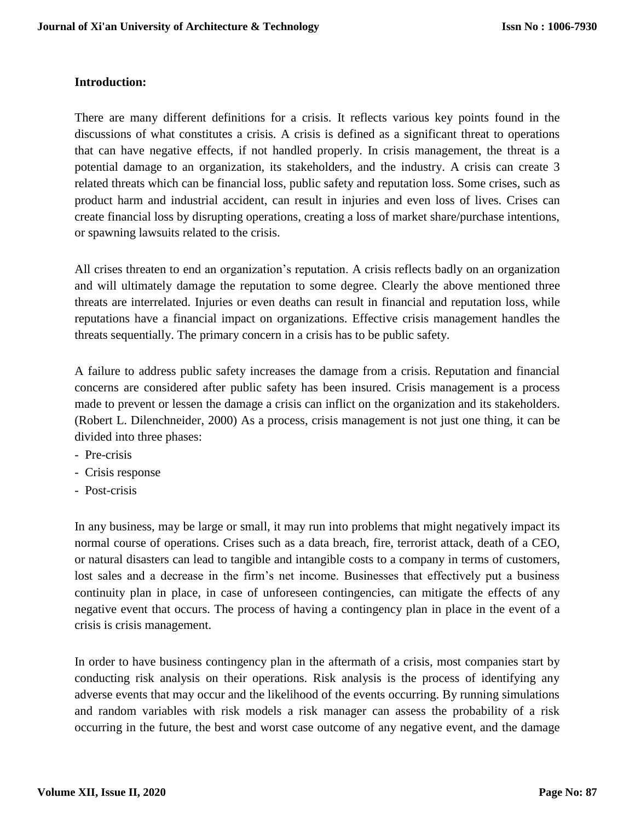## **Introduction:**

There are many different definitions for a crisis. It reflects various key points found in the discussions of what constitutes a crisis. A crisis is defined as a significant threat to operations that can have negative effects, if not handled properly. In crisis management, the threat is a potential damage to an organization, its stakeholders, and the industry. A crisis can create 3 related threats which can be financial loss, public safety and reputation loss. Some crises, such as product harm and industrial accident, can result in injuries and even loss of lives. Crises can create financial loss by disrupting operations, creating a loss of market share/purchase intentions, or spawning lawsuits related to the crisis.

All crises threaten to end an organization's reputation. A crisis reflects badly on an organization and will ultimately damage the reputation to some degree. Clearly the above mentioned three threats are interrelated. Injuries or even deaths can result in financial and reputation loss, while reputations have a financial impact on organizations. Effective crisis management handles the threats sequentially. The primary concern in a crisis has to be public safety.

A failure to address public safety increases the damage from a crisis. Reputation and financial concerns are considered after public safety has been insured. Crisis management is a process made to prevent or lessen the damage a crisis can inflict on the organization and its stakeholders. (Robert L. Dilenchneider, 2000) As a process, crisis management is not just one thing, it can be divided into three phases:

- Pre-crisis
- Crisis response
- Post-crisis

In any business, may be large or small, it may run into problems that might negatively impact its normal course of operations. Crises such as a data breach, fire, terrorist attack, death of a CEO, or natural disasters can lead to tangible and intangible costs to a company in terms of customers, lost sales and a decrease in the firm's net income. Businesses that effectively put a business continuity plan in place, in case of unforeseen contingencies, can mitigate the effects of any negative event that occurs. The process of having a contingency plan in place in the event of a crisis is crisis management.

In order to have business contingency plan in the aftermath of a crisis, most companies start by conducting risk analysis on their operations. Risk analysis is the process of identifying any adverse events that may occur and the likelihood of the events occurring. By running simulations and random variables with risk models a risk manager can assess the probability of a risk occurring in the future, the best and worst case outcome of any negative event, and the damage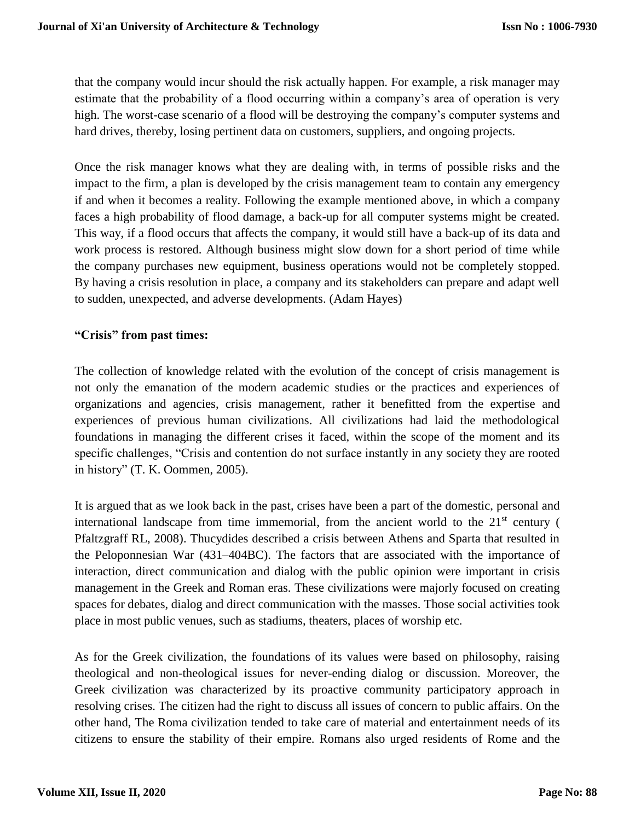that the company would incur should the risk actually happen. For example, a risk manager may estimate that the probability of a flood occurring within a company's area of operation is very high. The worst-case scenario of a flood will be destroying the company's computer systems and hard drives, thereby, losing pertinent data on customers, suppliers, and ongoing projects.

Once the risk manager knows what they are dealing with, in terms of possible risks and the impact to the firm, a plan is developed by the crisis management team to contain any emergency if and when it becomes a reality. Following the example mentioned above, in which a company faces a high probability of flood damage, a back-up for all computer systems might be created. This way, if a flood occurs that affects the company, it would still have a back-up of its data and work process is restored. Although business might slow down for a short period of time while the company purchases new equipment, business operations would not be completely stopped. By having a crisis resolution in place, a company and its stakeholders can prepare and adapt well to sudden, unexpected, and adverse developments. (Adam Hayes)

## **"Crisis" from past times:**

The collection of knowledge related with the evolution of the concept of crisis management is not only the emanation of the modern academic studies or the practices and experiences of organizations and agencies, crisis management, rather it benefitted from the expertise and experiences of previous human civilizations. All civilizations had laid the methodological foundations in managing the different crises it faced, within the scope of the moment and its specific challenges, "Crisis and contention do not surface instantly in any society they are rooted in history" (T. K. Oommen, 2005).

It is argued that as we look back in the past, crises have been a part of the domestic, personal and international landscape from time immemorial, from the ancient world to the 21st century ( Pfaltzgraff RL, 2008). Thucydides described a crisis between Athens and Sparta that resulted in the Peloponnesian War (431–404BC). The factors that are associated with the importance of interaction, direct communication and dialog with the public opinion were important in crisis management in the Greek and Roman eras. These civilizations were majorly focused on creating spaces for debates, dialog and direct communication with the masses. Those social activities took place in most public venues, such as stadiums, theaters, places of worship etc.

As for the Greek civilization, the foundations of its values were based on philosophy, raising theological and non-theological issues for never-ending dialog or discussion. Moreover, the Greek civilization was characterized by its proactive community participatory approach in resolving crises. The citizen had the right to discuss all issues of concern to public affairs. On the other hand, The Roma civilization tended to take care of material and entertainment needs of its citizens to ensure the stability of their empire. Romans also urged residents of Rome and the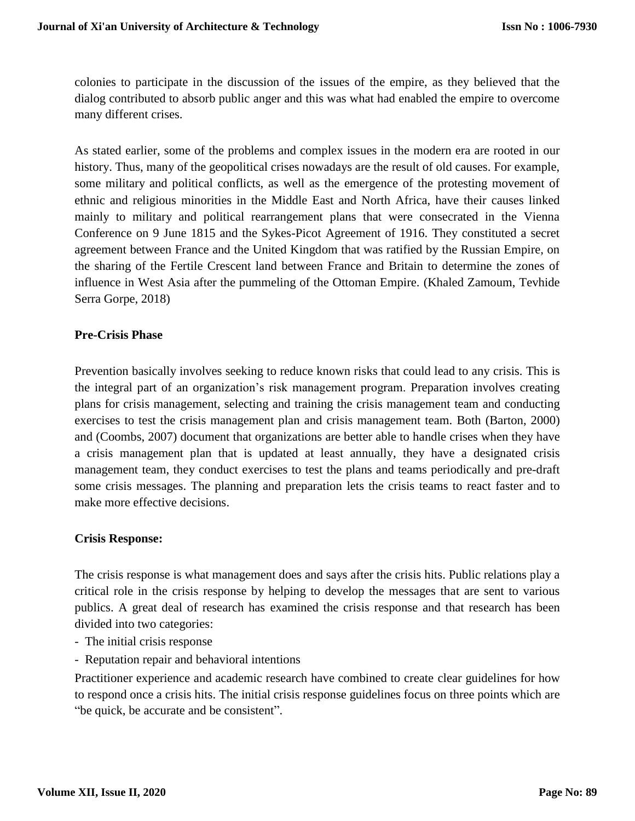colonies to participate in the discussion of the issues of the empire, as they believed that the dialog contributed to absorb public anger and this was what had enabled the empire to overcome many different crises.

As stated earlier, some of the problems and complex issues in the modern era are rooted in our history. Thus, many of the geopolitical crises nowadays are the result of old causes. For example, some military and political conflicts, as well as the emergence of the protesting movement of ethnic and religious minorities in the Middle East and North Africa, have their causes linked mainly to military and political rearrangement plans that were consecrated in the Vienna Conference on 9 June 1815 and the Sykes-Picot Agreement of 1916. They constituted a secret agreement between France and the United Kingdom that was ratified by the Russian Empire, on the sharing of the Fertile Crescent land between France and Britain to determine the zones of influence in West Asia after the pummeling of the Ottoman Empire. (Khaled Zamoum, Tevhide Serra Gorpe, 2018)

## **Pre-Crisis Phase**

Prevention basically involves seeking to reduce known risks that could lead to any crisis. This is the integral part of an organization's risk management program. Preparation involves creating plans for crisis management, selecting and training the crisis management team and conducting exercises to test the crisis management plan and crisis management team. Both (Barton, 2000) and (Coombs, 2007) document that organizations are better able to handle crises when they have a crisis management plan that is updated at least annually, they have a designated crisis management team, they conduct exercises to test the plans and teams periodically and pre-draft some crisis messages. The planning and preparation lets the crisis teams to react faster and to make more effective decisions.

#### **Crisis Response:**

The crisis response is what management does and says after the crisis hits. Public relations play a critical role in the crisis response by helping to develop the messages that are sent to various publics. A great deal of research has examined the crisis response and that research has been divided into two categories:

- The initial crisis response
- Reputation repair and behavioral intentions

Practitioner experience and academic research have combined to create clear guidelines for how to respond once a crisis hits. The initial crisis response guidelines focus on three points which are "be quick, be accurate and be consistent".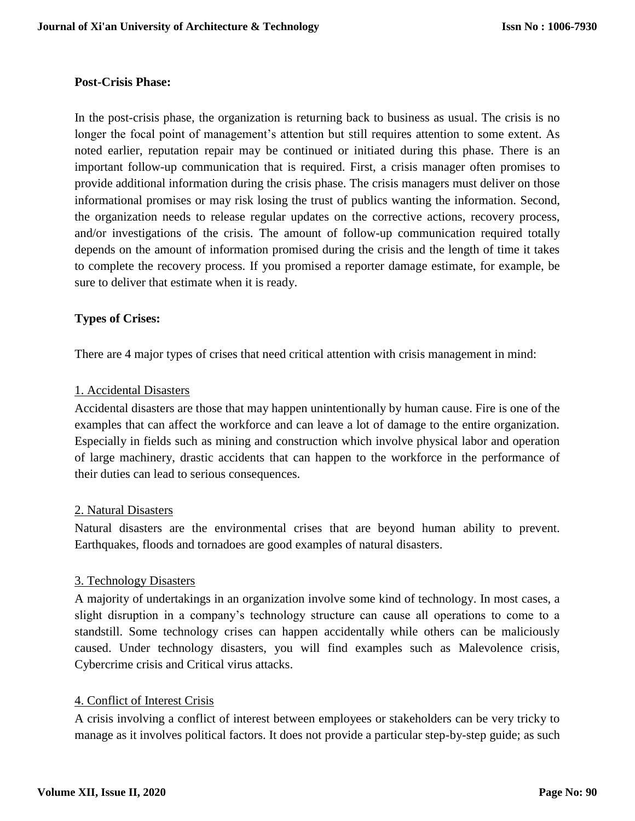#### **Post-Crisis Phase:**

In the post-crisis phase, the organization is returning back to business as usual. The crisis is no longer the focal point of management's attention but still requires attention to some extent. As noted earlier, reputation repair may be continued or initiated during this phase. There is an important follow-up communication that is required. First, a crisis manager often promises to provide additional information during the crisis phase. The crisis managers must deliver on those informational promises or may risk losing the trust of publics wanting the information. Second, the organization needs to release regular updates on the corrective actions, recovery process, and/or investigations of the crisis. The amount of follow-up communication required totally depends on the amount of information promised during the crisis and the length of time it takes to complete the recovery process. If you promised a reporter damage estimate, for example, be sure to deliver that estimate when it is ready.

#### **Types of Crises:**

There are 4 major types of crises that need critical attention with crisis management in mind:

#### 1. Accidental Disasters

Accidental disasters are those that may happen unintentionally by human cause. Fire is one of the examples that can affect the workforce and can leave a lot of damage to the entire organization. Especially in fields such as mining and construction which involve physical labor and operation of large machinery, drastic accidents that can happen to the workforce in the performance of their duties can lead to serious consequences.

#### 2. Natural Disasters

Natural disasters are the environmental crises that are beyond human ability to prevent. Earthquakes, floods and tornadoes are good examples of natural disasters.

#### 3. Technology Disasters

A majority of undertakings in an organization involve some kind of technology. In most cases, a slight disruption in a company's technology structure can cause all operations to come to a standstill. Some technology crises can happen accidentally while others can be maliciously caused. Under technology disasters, you will find examples such as Malevolence crisis, Cybercrime crisis and Critical virus attacks.

#### 4. Conflict of Interest Crisis

A crisis involving a conflict of interest between employees or stakeholders can be very tricky to manage as it involves political factors. It does not provide a particular step-by-step guide; as such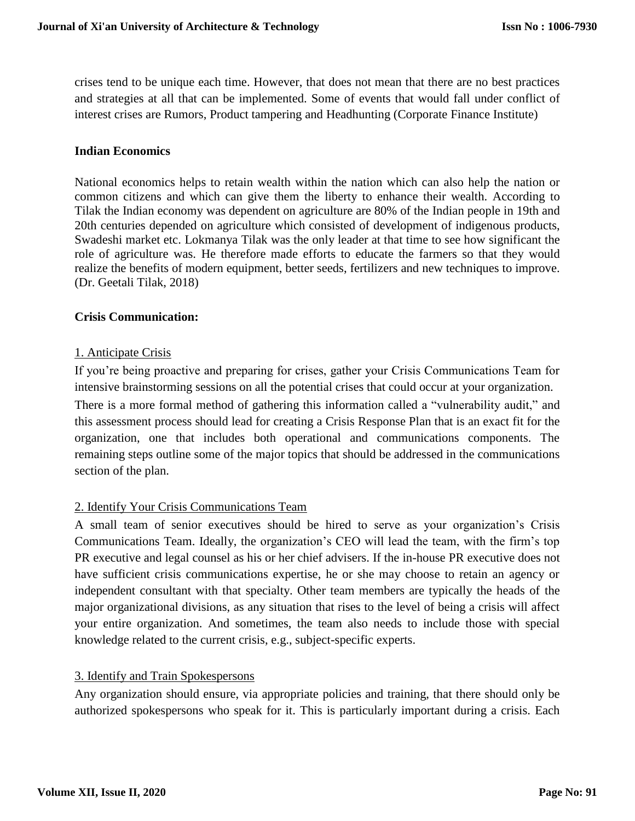crises tend to be unique each time. However, that does not mean that there are no best practices and strategies at all that can be implemented. Some of events that would fall under conflict of interest crises are Rumors, Product tampering and Headhunting (Corporate Finance Institute)

## **Indian Economics**

National economics helps to retain wealth within the nation which can also help the nation or common citizens and which can give them the liberty to enhance their wealth. According to Tilak the Indian economy was dependent on agriculture are 80% of the Indian people in 19th and 20th centuries depended on agriculture which consisted of development of indigenous products, Swadeshi market etc. Lokmanya Tilak was the only leader at that time to see how significant the role of agriculture was. He therefore made efforts to educate the farmers so that they would realize the benefits of modern equipment, better seeds, fertilizers and new techniques to improve. (Dr. Geetali Tilak, 2018)

## **Crisis Communication:**

## 1. Anticipate Crisis

If you're being proactive and preparing for crises, gather your Crisis Communications Team for intensive brainstorming sessions on all the potential crises that could occur at your organization. There is a more formal method of gathering this information called a "vulnerability audit," and this assessment process should lead for creating a Crisis Response Plan that is an exact fit for the organization, one that includes both operational and communications components. The remaining steps outline some of the major topics that should be addressed in the communications section of the plan.

# 2. Identify Your Crisis Communications Team

A small team of senior executives should be hired to serve as your organization's Crisis Communications Team. Ideally, the organization's CEO will lead the team, with the firm's top PR executive and legal counsel as his or her chief advisers. If the in-house PR executive does not have sufficient crisis communications expertise, he or she may choose to retain an agency or independent consultant with that specialty. Other team members are typically the heads of the major organizational divisions, as any situation that rises to the level of being a crisis will affect your entire organization. And sometimes, the team also needs to include those with special knowledge related to the current crisis, e.g., subject-specific experts.

#### 3. Identify and Train Spokespersons

Any organization should ensure, via appropriate policies and training, that there should only be authorized spokespersons who speak for it. This is particularly important during a crisis. Each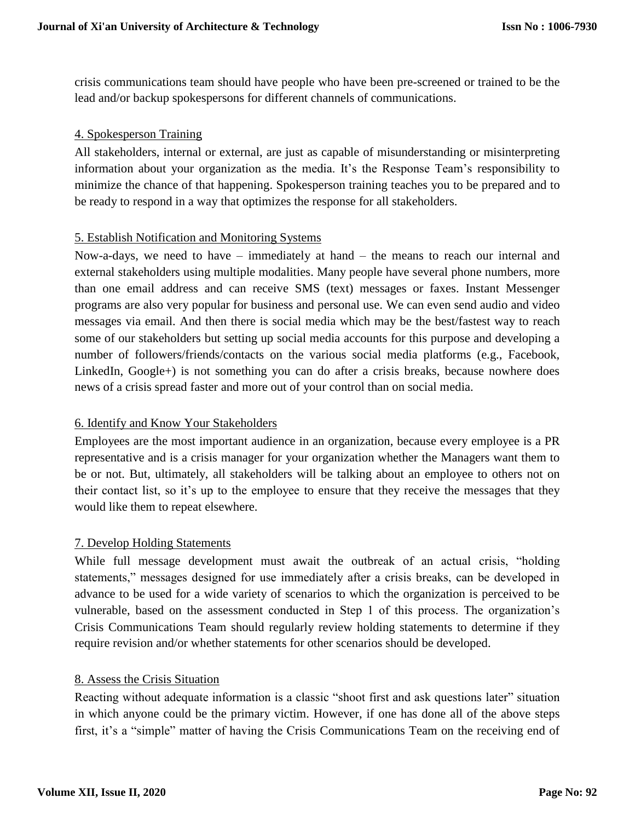crisis communications team should have people who have been pre-screened or trained to be the lead and/or backup spokespersons for different channels of communications.

## 4. Spokesperson Training

All stakeholders, internal or external, are just as capable of misunderstanding or misinterpreting information about your organization as the media. It's the Response Team's responsibility to minimize the chance of that happening. Spokesperson training teaches you to be prepared and to be ready to respond in a way that optimizes the response for all stakeholders.

## 5. Establish Notification and Monitoring Systems

Now-a-days, we need to have – immediately at hand – the means to reach our internal and external stakeholders using multiple modalities. Many people have several phone numbers, more than one email address and can receive SMS (text) messages or faxes. Instant Messenger programs are also very popular for business and personal use. We can even send audio and video messages via email. And then there is social media which may be the best/fastest way to reach some of our stakeholders but setting up social media accounts for this purpose and developing a number of followers/friends/contacts on the various social media platforms (e.g., Facebook, LinkedIn, Google+) is not something you can do after a crisis breaks, because nowhere does news of a crisis spread faster and more out of your control than on social media.

# 6. Identify and Know Your Stakeholders

Employees are the most important audience in an organization, because every employee is a PR representative and is a crisis manager for your organization whether the Managers want them to be or not. But, ultimately, all stakeholders will be talking about an employee to others not on their contact list, so it's up to the employee to ensure that they receive the messages that they would like them to repeat elsewhere.

#### 7. Develop Holding Statements

While full message development must await the outbreak of an actual crisis, "holding statements," messages designed for use immediately after a crisis breaks, can be developed in advance to be used for a wide variety of scenarios to which the organization is perceived to be vulnerable, based on the assessment conducted in Step 1 of this process. The organization's Crisis Communications Team should regularly review holding statements to determine if they require revision and/or whether statements for other scenarios should be developed.

#### 8. Assess the Crisis Situation

Reacting without adequate information is a classic "shoot first and ask questions later" situation in which anyone could be the primary victim. However, if one has done all of the above steps first, it's a "simple" matter of having the Crisis Communications Team on the receiving end of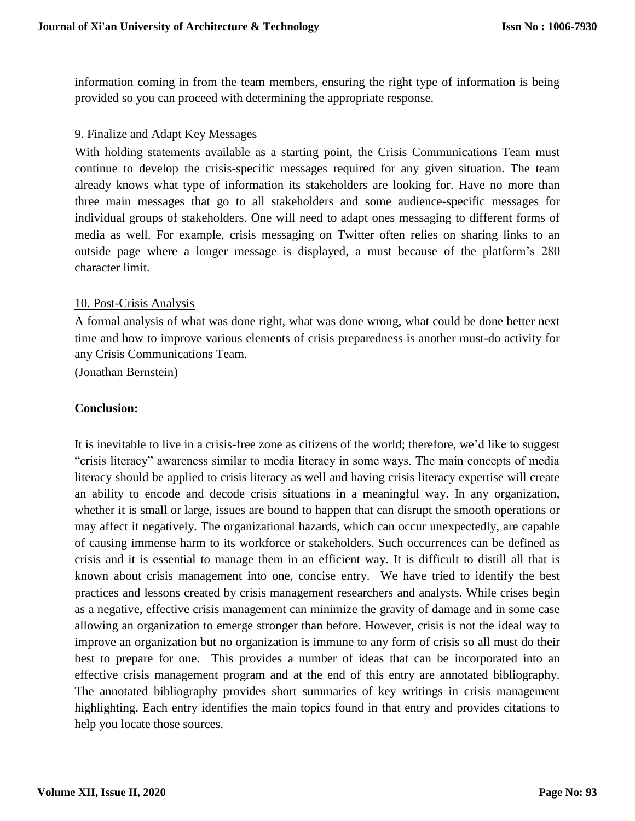information coming in from the team members, ensuring the right type of information is being provided so you can proceed with determining the appropriate response.

## 9. Finalize and Adapt Key Messages

With holding statements available as a starting point, the Crisis Communications Team must continue to develop the crisis-specific messages required for any given situation. The team already knows what type of information its stakeholders are looking for. Have no more than three main messages that go to all stakeholders and some audience-specific messages for individual groups of stakeholders. One will need to adapt ones messaging to different forms of media as well. For example, crisis messaging on Twitter often relies on sharing links to an outside page where a longer message is displayed, a must because of the platform's 280 character limit.

## 10. Post-Crisis Analysis

A formal analysis of what was done right, what was done wrong, what could be done better next time and how to improve various elements of crisis preparedness is another must-do activity for any Crisis Communications Team.

(Jonathan Bernstein)

## **Conclusion:**

It is inevitable to live in a crisis-free zone as citizens of the world; therefore, we'd like to suggest "crisis literacy" awareness similar to media literacy in some ways. The main concepts of media literacy should be applied to crisis literacy as well and having crisis literacy expertise will create an ability to encode and decode crisis situations in a meaningful way. In any organization, whether it is small or large, issues are bound to happen that can disrupt the smooth operations or may affect it negatively. The organizational hazards, which can occur unexpectedly, are capable of causing immense harm to its workforce or stakeholders. Such occurrences can be defined as crisis and it is essential to manage them in an efficient way. It is difficult to distill all that is known about crisis management into one, concise entry. We have tried to identify the best practices and lessons created by crisis management researchers and analysts. While crises begin as a negative, effective crisis management can minimize the gravity of damage and in some case allowing an organization to emerge stronger than before. However, crisis is not the ideal way to improve an organization but no organization is immune to any form of crisis so all must do their best to prepare for one. This provides a number of ideas that can be incorporated into an effective crisis management program and at the end of this entry are annotated bibliography. The annotated bibliography provides short summaries of key writings in crisis management highlighting. Each entry identifies the main topics found in that entry and provides citations to help you locate those sources.